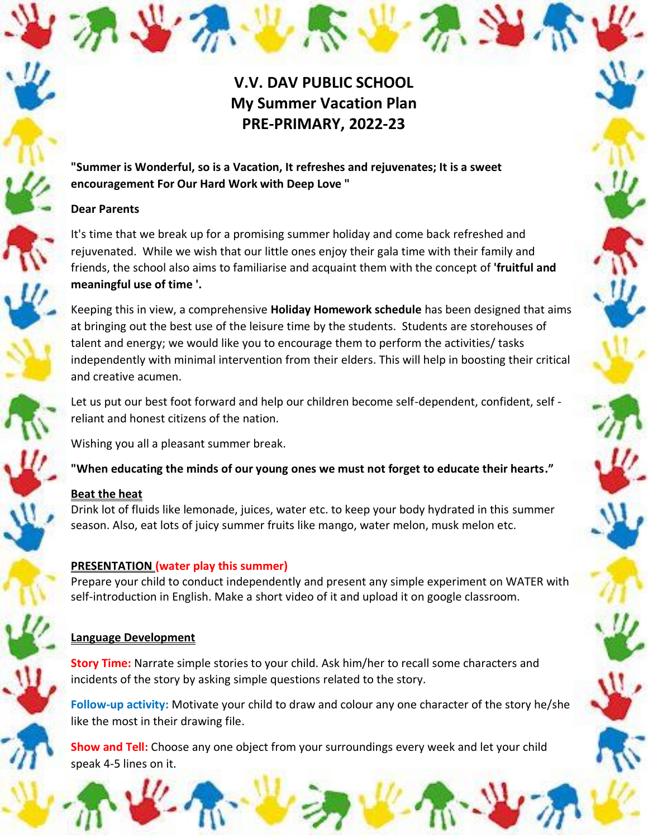# **V.V. DAV PUBLIC SCHOOL My Summer Vacation Plan PRE-PRIMARY, 2022-23**

# **"Summer is Wonderful, so is a Vacation, It refreshes and rejuvenates; It is a sweet encouragement For Our Hard Work with Deep Love "**

## **Dear Parents**

It's time that we break up for a promising summer holiday and come back refreshed and rejuvenated. While we wish that our little ones enjoy their gala time with their family and friends, the school also aims to familiarise and acquaint them with the concept of **'fruitful and meaningful use of time '.**

Keeping this in view, a comprehensive **Holiday Homework schedule** has been designed that aims at bringing out the best use of the leisure time by the students. Students are storehouses of talent and energy; we would like you to encourage them to perform the activities/ tasks independently with minimal intervention from their elders. This will help in boosting their critical and creative acumen.

Let us put our best foot forward and help our children become self-dependent, confident, self reliant and honest citizens of the nation.

Wishing you all a pleasant summer break.

**"When educating the minds of our young ones we must not forget to educate their hearts."**

# **Beat the heat**

Drink lot of fluids like lemonade, juices, water etc. to keep your body hydrated in this summer season. Also, eat lots of juicy summer fruits like mango, water melon, musk melon etc.

# **PRESENTATION (water play this summer)**

Prepare your child to conduct independently and present any simple experiment on WATER with self-introduction in English. Make a short video of it and upload it on google classroom.

# **Language Development**

**Story Time:** Narrate simple stories to your child. Ask him/her to recall some characters and incidents of the story by asking simple questions related to the story.

**Follow-up activity:** Motivate your child to draw and colour any one character of the story he/she like the most in their drawing file.

**Show and Tell:** Choose any one object from your surroundings every week and let your child speak 4-5 lines on it.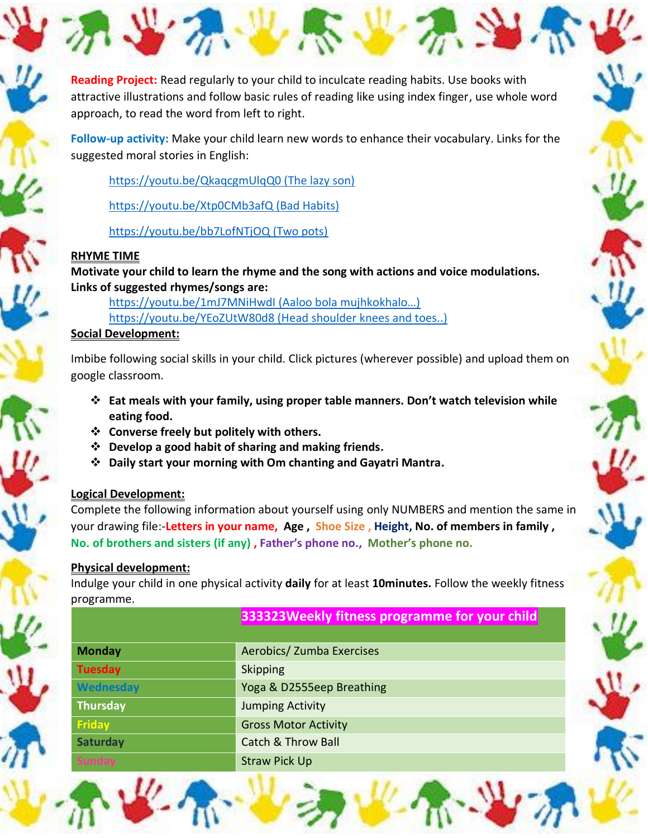**Reading Project:** Read regularly to your child to inculcate reading habits. Use books with attractive illustrations and follow basic rules of reading like using index finger, use whole word approach, to read the word from left to right.

**Follow-up activity:** Make your child learn new words to enhance their vocabulary. Links for the suggested moral stories in English:

[https://youtu.be/QkaqcgmUlqQ0 \(The lazy son\)](https://youtu.be/QkaqcgmUlqQ0%20(The%20lazy%20son))

[https://youtu.be/Xtp0CMb3afQ \(Bad Habits\)](https://youtu.be/Xtp0CMb3afQ%20(Bad%20Habits))

[https://youtu.be/bb7LofNTjOQ \(Two pots\)](https://youtu.be/bb7LofNTjOQ%20(Two%20pots))

#### **RHYME TIME**

**Motivate your child to learn the rhyme and the song with actions and voice modulations. Links of suggested rhymes/songs are:**

[https://youtu.be/1mJ7MNiHwdI \(Aaloo bola mujhkokhalo…\)](https://youtu.be/1mJ7MNiHwdI%20(Aaloo%20bola%20mujhkokhalo…))  [https://youtu.be/YEoZUtW80d8 \(Head shoulder knees and toes..\)](https://youtu.be/YEoZUtW80d8%20(Head%20shoulder%20knees%20and%20toes..))

#### **Social Development:**

Imbibe following social skills in your child. Click pictures (wherever possible) and upload them on google classroom.

- ❖ **Eat meals with your family, using proper table manners. Don't watch television while eating food.**
- ❖ **Converse freely but politely with others.**
- ❖ **Develop a good habit of sharing and making friends.**
- ❖ **Daily start your morning with Om chanting and Gayatri Mantra.**

## **Logical Development:**

Complete the following information about yourself using only NUMBERS and mention the same in your drawing file:-**Letters in your name, Age , Shoe Size , Height, No. of members in family , No. of brothers and sisters (if any) , Father's phone no., Mother's phone no.**

#### **Physical development:**

Indulge your child in one physical activity **daily** for at least **10minutes.** Follow the weekly fitness programme.

| <b>Monday</b>  | Aerobics/ Zumba Exercises     |  |
|----------------|-------------------------------|--|
| <b>Tuesday</b> | Skipping                      |  |
| Wednesday      | Yoga & D2555eep Breathing     |  |
| Thursday       | <b>Jumping Activity</b>       |  |
| <b>Friday</b>  | <b>Gross Motor Activity</b>   |  |
| Saturday       | <b>Catch &amp; Throw Ball</b> |  |
|                | <b>Straw Pick Up</b>          |  |
|                |                               |  |

**333323Weekly fitness programme for your child**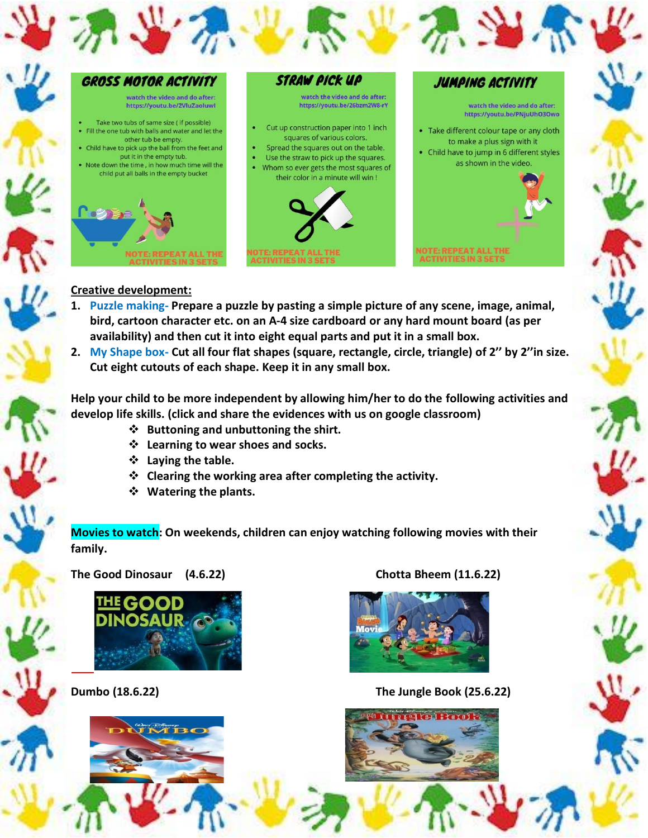

#### **Creative development:**

- **1. Puzzle making- Prepare a puzzle by pasting a simple picture of any scene, image, animal, bird, cartoon character etc. on an A-4 size cardboard or any hard mount board (as per availability) and then cut it into eight equal parts and put it in a small box.**
- **2. My Shape box- Cut all four flat shapes (square, rectangle, circle, triangle) of 2'' by 2''in size. Cut eight cutouts of each shape. Keep it in any small box.**

**Help your child to be more independent by allowing him/her to do the following activities and develop life skills. (click and share the evidences with us on google classroom)** 

- ❖ **Buttoning and unbuttoning the shirt.**
- ❖ **Learning to wear shoes and socks.**
- ❖ **Laying the table.**
- ❖ **Clearing the working area after completing the activity.**
- ❖ **Watering the plants.**

**Movies to watch: On weekends, children can enjoy watching following movies with their family.** 

**The Good Dinosaur (4.6.22) Chotta Bheem (11.6.22)**





**Dumbo (18.6.22) The Jungle Book (25.6.22)**

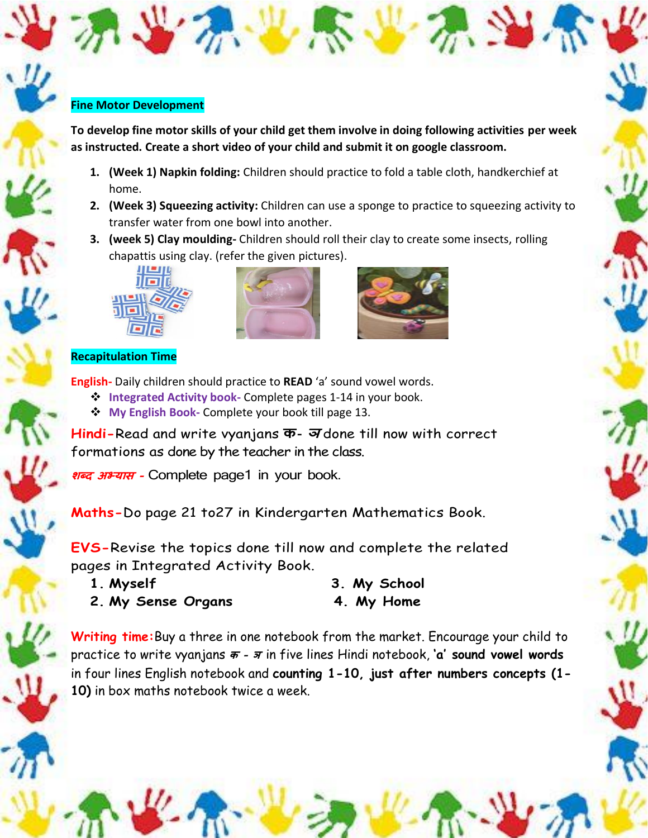#### **Fine Motor Development**

**To develop fine motor skills of your child get them involve in doing following activities per week as instructed. Create a short video of your child and submit it on google classroom.**

- **1. (Week 1) Napkin folding:** Children should practice to fold a table cloth, handkerchief at home.
- **2. (Week 3) Squeezing activity:** Children can use a sponge to practice to squeezing activity to transfer water from one bowl into another.
- **3. (week 5) Clay moulding-** Children should roll their clay to create some insects, rolling chapattis using clay. (refer the given pictures).







## **Recapitulation Time**

**English-** Daily children should practice to **READ** 'a' sound vowel words.

- ❖ **Integrated Activity book-** Complete pages 1-14 in your book.
- ❖ **My English Book-** Complete your book till page 13.

**Hindi-**Read and write vyanjans **क- <sup>ञ</sup>** done till now with correct formations as done by the teacher in the class.

**शब्द अभ्यास -** Complete page1 in your book.

**Maths-**Do page 21 to27 in Kindergarten Mathematics Book.

**EVS-**Revise the topics done till now and complete the related pages in Integrated Activity Book.

- **1. Myself 3. My School**
- **2. My Sense Organs 4. My Home**

**Writing time:**Buy a three in one notebook from the market. Encourage your child to practice to write vyanjans **<sup>क</sup> – <sup>ञ</sup>**in five lines Hindi notebook, **'a' sound vowel words**  in four lines English notebook and **counting 1-10, just after numbers concepts (1- 10)** in box maths notebook twice a week.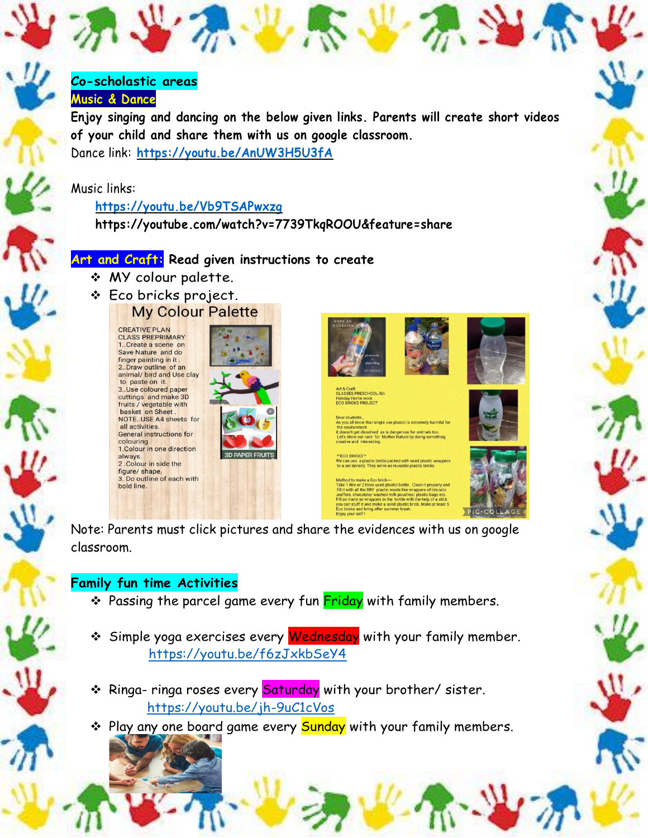# **Co-scholastic areas**

# **Music & Dance**

**Enjoy singing and dancing on the below given links. Parents will create short videos of your child and share them with us on google classroom.** Dance link: **<https://youtu.be/AnUW3H5U3fA>**

## Music links:

## **<https://youtu.be/Vb9TSAPwxzg>**

**https://youtube.com/watch?v=7739TkqROOU&feature=share**

# **Art and Craft: Read given instructions to create**

- ❖ MY colour palette.
- ❖ Eco bricks project.

**CREATIVE PLAN CLASS PREPRIMARY** 1..Create a scene on Save Nature and do finger painting in it. 2. Draw outline of an animal/ bird and Use clay to paste on it.<br>3. Use coloured paper cuttings and make 3D fruits / vegetable with<br>basket on Sheet. NOTE..USE A4 sheets for all activities General instructions for colouring 1. Colour in one direction always. 2. Colour in side the figure/ shape. 3. Do outline of each with bold line.







oliday Home work<br><mark>:O BRICKS PROJECT</mark>

you all know that single use plastic is extremely harmful fo oninent.<br>
get dissolved as is dangerous for animals too.<br>
w our care for Mother Nature by doing something<br>
and interesting.

plastic bottle packed with used plastic with They serve as reusable plastic bricks

Note: Parents must click pictures and share the evidences with us on google classroom.

# **Family fun time Activities**

- ❖ Passing the parcel game every fun Friday with family members.
- ❖ Simple yoga exercises every Wednesday with your family member. <https://youtu.be/f6zJxkbSeY4>
- ❖ Ringa- ringa roses every Saturday with your brother/ sister. <https://youtu.be/jh-9uC1cVos>
- ❖ Play any one board game every Sunday with your family members.